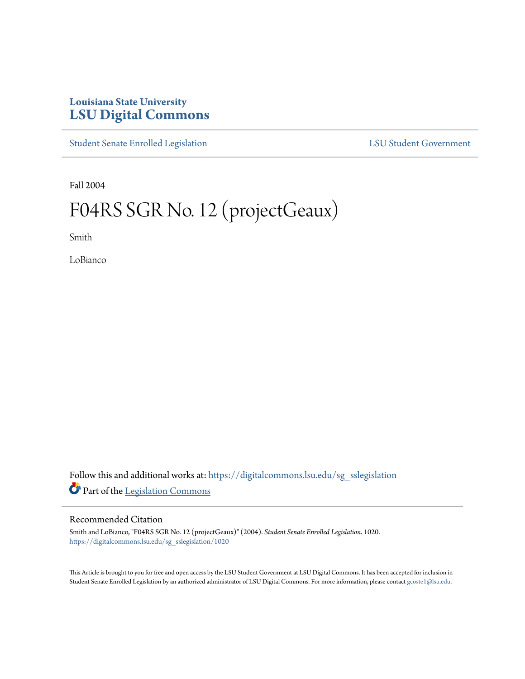## **Louisiana State University [LSU Digital Commons](https://digitalcommons.lsu.edu?utm_source=digitalcommons.lsu.edu%2Fsg_sslegislation%2F1020&utm_medium=PDF&utm_campaign=PDFCoverPages)**

[Student Senate Enrolled Legislation](https://digitalcommons.lsu.edu/sg_sslegislation?utm_source=digitalcommons.lsu.edu%2Fsg_sslegislation%2F1020&utm_medium=PDF&utm_campaign=PDFCoverPages) [LSU Student Government](https://digitalcommons.lsu.edu/sg?utm_source=digitalcommons.lsu.edu%2Fsg_sslegislation%2F1020&utm_medium=PDF&utm_campaign=PDFCoverPages)

Fall 2004

## F04RS SGR No. 12 (projectGeaux)

Smith

LoBianco

Follow this and additional works at: [https://digitalcommons.lsu.edu/sg\\_sslegislation](https://digitalcommons.lsu.edu/sg_sslegislation?utm_source=digitalcommons.lsu.edu%2Fsg_sslegislation%2F1020&utm_medium=PDF&utm_campaign=PDFCoverPages) Part of the [Legislation Commons](http://network.bepress.com/hgg/discipline/859?utm_source=digitalcommons.lsu.edu%2Fsg_sslegislation%2F1020&utm_medium=PDF&utm_campaign=PDFCoverPages)

## Recommended Citation

Smith and LoBianco, "F04RS SGR No. 12 (projectGeaux)" (2004). *Student Senate Enrolled Legislation*. 1020. [https://digitalcommons.lsu.edu/sg\\_sslegislation/1020](https://digitalcommons.lsu.edu/sg_sslegislation/1020?utm_source=digitalcommons.lsu.edu%2Fsg_sslegislation%2F1020&utm_medium=PDF&utm_campaign=PDFCoverPages)

This Article is brought to you for free and open access by the LSU Student Government at LSU Digital Commons. It has been accepted for inclusion in Student Senate Enrolled Legislation by an authorized administrator of LSU Digital Commons. For more information, please contact [gcoste1@lsu.edu.](mailto:gcoste1@lsu.edu)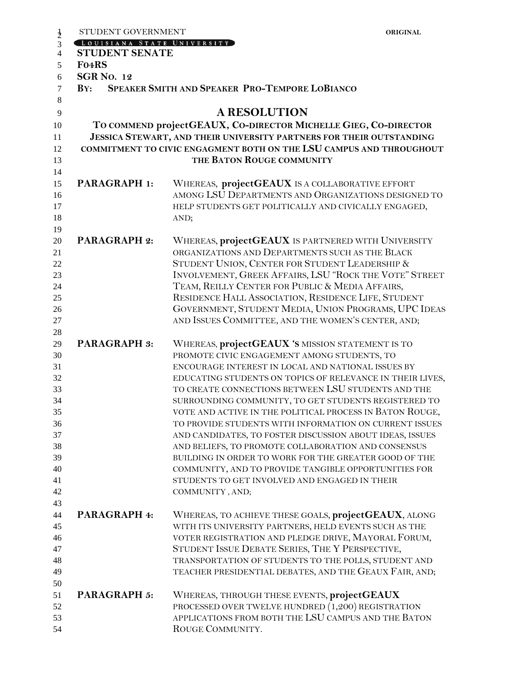|                | STUDENT GOVERNMENT                                                   |                                                                                                                    | <b>ORIGINAL</b> |  |  |  |  |  |
|----------------|----------------------------------------------------------------------|--------------------------------------------------------------------------------------------------------------------|-----------------|--|--|--|--|--|
| $\frac{1}{2}$  | LOUISIANA STATE UNIVERSITY                                           |                                                                                                                    |                 |  |  |  |  |  |
| $\overline{4}$ | <b>STUDENT SENATE</b>                                                |                                                                                                                    |                 |  |  |  |  |  |
| 5              | F04RS                                                                |                                                                                                                    |                 |  |  |  |  |  |
| 6              | <b>SGR No. 12</b>                                                    |                                                                                                                    |                 |  |  |  |  |  |
| $\tau$         | SPEAKER SMITH AND SPEAKER PRO-TEMPORE LOBIANCO<br>BY:                |                                                                                                                    |                 |  |  |  |  |  |
| 8              |                                                                      |                                                                                                                    |                 |  |  |  |  |  |
| 9              | <b>A RESOLUTION</b>                                                  |                                                                                                                    |                 |  |  |  |  |  |
| 10             | TO COMMEND projectGEAUX, CO-DIRECTOR MICHELLE GIEG, CO-DIRECTOR      |                                                                                                                    |                 |  |  |  |  |  |
| 11             | JESSICA STEWART, AND THEIR UNIVERSITY PARTNERS FOR THEIR OUTSTANDING |                                                                                                                    |                 |  |  |  |  |  |
| 12             |                                                                      | COMMITMENT TO CIVIC ENGAGMENT BOTH ON THE LSU CAMPUS AND THROUGHOUT                                                |                 |  |  |  |  |  |
| 13             |                                                                      | THE BATON ROUGE COMMUNITY                                                                                          |                 |  |  |  |  |  |
| 14             |                                                                      |                                                                                                                    |                 |  |  |  |  |  |
| 15             | <b>PARAGRAPH 1:</b>                                                  | WHEREAS, projectGEAUX IS A COLLABORATIVE EFFORT                                                                    |                 |  |  |  |  |  |
| 16             |                                                                      | AMONG LSU DEPARTMENTS AND ORGANIZATIONS DESIGNED TO                                                                |                 |  |  |  |  |  |
| 17             |                                                                      | HELP STUDENTS GET POLITICALLY AND CIVICALLY ENGAGED,                                                               |                 |  |  |  |  |  |
| 18             |                                                                      | AND;                                                                                                               |                 |  |  |  |  |  |
| 19             |                                                                      |                                                                                                                    |                 |  |  |  |  |  |
| 20             | <b>PARAGRAPH 2:</b>                                                  | WHEREAS, projectGEAUX IS PARTNERED WITH UNIVERSITY                                                                 |                 |  |  |  |  |  |
| 21             |                                                                      | ORGANIZATIONS AND DEPARTMENTS SUCH AS THE BLACK                                                                    |                 |  |  |  |  |  |
| 22             |                                                                      | STUDENT UNION, CENTER FOR STUDENT LEADERSHIP &                                                                     |                 |  |  |  |  |  |
| 23             |                                                                      | INVOLVEMENT, GREEK AFFAIRS, LSU "ROCK THE VOTE" STREET                                                             |                 |  |  |  |  |  |
| 24             |                                                                      | TEAM, REILLY CENTER FOR PUBLIC & MEDIA AFFAIRS,                                                                    |                 |  |  |  |  |  |
| 25             |                                                                      | RESIDENCE HALL ASSOCIATION, RESIDENCE LIFE, STUDENT                                                                |                 |  |  |  |  |  |
| 26             |                                                                      | GOVERNMENT, STUDENT MEDIA, UNION PROGRAMS, UPC IDEAS                                                               |                 |  |  |  |  |  |
| 27             |                                                                      | AND ISSUES COMMITTEE, AND THE WOMEN'S CENTER, AND;                                                                 |                 |  |  |  |  |  |
| 28             |                                                                      |                                                                                                                    |                 |  |  |  |  |  |
| 29             | <b>PARAGRAPH 3:</b>                                                  | WHEREAS, projectGEAUX 'S MISSION STATEMENT IS TO                                                                   |                 |  |  |  |  |  |
| 30             |                                                                      | PROMOTE CIVIC ENGAGEMENT AMONG STUDENTS, TO                                                                        |                 |  |  |  |  |  |
| 31             |                                                                      | ENCOURAGE INTEREST IN LOCAL AND NATIONAL ISSUES BY                                                                 |                 |  |  |  |  |  |
| 32             |                                                                      | EDUCATING STUDENTS ON TOPICS OF RELEVANCE IN THEIR LIVES,                                                          |                 |  |  |  |  |  |
| 33             |                                                                      | TO CREATE CONNECTIONS BETWEEN LSU STUDENTS AND THE                                                                 |                 |  |  |  |  |  |
| 34             |                                                                      | SURROUNDING COMMUNITY, TO GET STUDENTS REGISTERED TO                                                               |                 |  |  |  |  |  |
| 35             |                                                                      | VOTE AND ACTIVE IN THE POLITICAL PROCESS IN BATON ROUGE,<br>TO PROVIDE STUDENTS WITH INFORMATION ON CURRENT ISSUES |                 |  |  |  |  |  |
| 36<br>37       |                                                                      | AND CANDIDATES, TO FOSTER DISCUSSION ABOUT IDEAS, ISSUES                                                           |                 |  |  |  |  |  |
| 38             |                                                                      | AND BELIEFS, TO PROMOTE COLLABORATION AND CONSENSUS                                                                |                 |  |  |  |  |  |
| 39             |                                                                      | BUILDING IN ORDER TO WORK FOR THE GREATER GOOD OF THE                                                              |                 |  |  |  |  |  |
| 40             |                                                                      | COMMUNITY, AND TO PROVIDE TANGIBLE OPPORTUNITIES FOR                                                               |                 |  |  |  |  |  |
| 41             |                                                                      | STUDENTS TO GET INVOLVED AND ENGAGED IN THEIR                                                                      |                 |  |  |  |  |  |
| 42             |                                                                      | COMMUNITY, AND;                                                                                                    |                 |  |  |  |  |  |
| 43             |                                                                      |                                                                                                                    |                 |  |  |  |  |  |
| 44             | <b>PARAGRAPH 4:</b>                                                  | WHEREAS, TO ACHIEVE THESE GOALS, projectGEAUX, ALONG                                                               |                 |  |  |  |  |  |
| 45             |                                                                      | WITH ITS UNIVERSITY PARTNERS, HELD EVENTS SUCH AS THE                                                              |                 |  |  |  |  |  |
| 46             |                                                                      | VOTER REGISTRATION AND PLEDGE DRIVE, MAYORAL FORUM,                                                                |                 |  |  |  |  |  |
| 47             |                                                                      | STUDENT ISSUE DEBATE SERIES, THE Y PERSPECTIVE,                                                                    |                 |  |  |  |  |  |
| 48             |                                                                      | TRANSPORTATION OF STUDENTS TO THE POLLS, STUDENT AND                                                               |                 |  |  |  |  |  |
| 49             |                                                                      | TEACHER PRESIDENTIAL DEBATES, AND THE GEAUX FAIR, AND;                                                             |                 |  |  |  |  |  |
| 50             |                                                                      |                                                                                                                    |                 |  |  |  |  |  |
| 51             | <b>PARAGRAPH 5:</b>                                                  | WHEREAS, THROUGH THESE EVENTS, projectGEAUX                                                                        |                 |  |  |  |  |  |
| 52             |                                                                      | PROCESSED OVER TWELVE HUNDRED (1,200) REGISTRATION                                                                 |                 |  |  |  |  |  |
| 53             |                                                                      | APPLICATIONS FROM BOTH THE LSU CAMPUS AND THE BATON                                                                |                 |  |  |  |  |  |
| 54             |                                                                      | ROUGE COMMUNITY.                                                                                                   |                 |  |  |  |  |  |